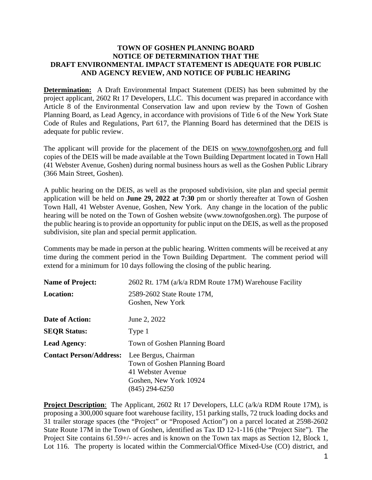## **TOWN OF GOSHEN PLANNING BOARD NOTICE OF DETERMINATION THAT THE DRAFT ENVIRONMENTAL IMPACT STATEMENT IS ADEQUATE FOR PUBLIC AND AGENCY REVIEW, AND NOTICE OF PUBLIC HEARING**

**Determination:** A Draft Environmental Impact Statement (DEIS) has been submitted by the project applicant, 2602 Rt 17 Developers, LLC. This document was prepared in accordance with Article 8 of the Environmental Conservation law and upon review by the Town of Goshen Planning Board, as Lead Agency, in accordance with provisions of Title 6 of the New York State Code of Rules and Regulations, Part 617, the Planning Board has determined that the DEIS is adequate for public review.

The applicant will provide for the placement of the DEIS on www.townofgoshen.org and full copies of the DEIS will be made available at the Town Building Department located in Town Hall (41 Webster Avenue, Goshen) during normal business hours as well as the Goshen Public Library (366 Main Street, Goshen).

A public hearing on the DEIS, as well as the proposed subdivision, site plan and special permit application will be held on **June 29, 2022 at 7:30** pm or shortly thereafter at Town of Goshen Town Hall, 41 Webster Avenue, Goshen, New York. Any change in the location of the public hearing will be noted on the Town of Goshen website (www.townofgoshen.org). The purpose of the public hearing is to provide an opportunity for public input on the DEIS, as well as the proposed subdivision, site plan and special permit application.

Comments may be made in person at the public hearing. Written comments will be received at any time during the comment period in the Town Building Department. The comment period will extend for a minimum for 10 days following the closing of the public hearing.

| <b>Name of Project:</b>        | 2602 Rt. 17M (a/k/a RDM Route 17M) Warehouse Facility                                                                    |
|--------------------------------|--------------------------------------------------------------------------------------------------------------------------|
| <b>Location:</b>               | 2589-2602 State Route 17M,<br>Goshen, New York                                                                           |
| Date of Action:                | June 2, 2022                                                                                                             |
| <b>SEQR Status:</b>            | Type 1                                                                                                                   |
| <b>Lead Agency:</b>            | Town of Goshen Planning Board                                                                                            |
| <b>Contact Person/Address:</b> | Lee Bergus, Chairman<br>Town of Goshen Planning Board<br>41 Webster Avenue<br>Goshen, New York 10924<br>$(845)$ 294-6250 |

**Project Description**: The Applicant, 2602 Rt 17 Developers, LLC (a/k/a RDM Route 17M), is proposing a 300,000 square foot warehouse facility, 151 parking stalls, 72 truck loading docks and 31 trailer storage spaces (the "Project" or "Proposed Action") on a parcel located at 2598-2602 State Route 17M in the Town of Goshen, identified as Tax ID 12-1-116 (the "Project Site"). The Project Site contains 61.59+/- acres and is known on the Town tax maps as Section 12, Block 1, Lot 116. The property is located within the Commercial/Office Mixed-Use (CO) district, and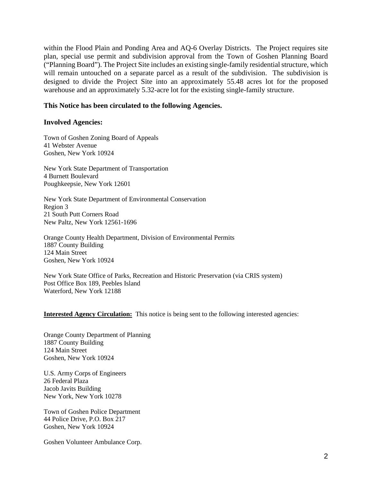within the Flood Plain and Ponding Area and AQ-6 Overlay Districts. The Project requires site plan, special use permit and subdivision approval from the Town of Goshen Planning Board ("Planning Board"). The Project Site includes an existing single-family residential structure, which will remain untouched on a separate parcel as a result of the subdivision. The subdivision is designed to divide the Project Site into an approximately 55.48 acres lot for the proposed warehouse and an approximately 5.32-acre lot for the existing single-family structure.

## **This Notice has been circulated to the following Agencies.**

## **Involved Agencies:**

Town of Goshen Zoning Board of Appeals 41 Webster Avenue Goshen, New York 10924

New York State Department of Transportation 4 Burnett Boulevard Poughkeepsie, New York 12601

New York State Department of Environmental Conservation Region 3 21 South Putt Corners Road New Paltz, New York 12561-1696

Orange County Health Department, Division of Environmental Permits 1887 County Building 124 Main Street Goshen, New York 10924

New York State Office of Parks, Recreation and Historic Preservation (via CRIS system) Post Office Box 189, Peebles Island Waterford, New York 12188

**Interested Agency Circulation:** This notice is being sent to the following interested agencies:

Orange County Department of Planning 1887 County Building 124 Main Street Goshen, New York 10924

U.S. Army Corps of Engineers 26 Federal Plaza Jacob Javits Building New York, New York 10278

Town of Goshen Police Department 44 Police Drive, P.O. Box 217 Goshen, New York 10924

Goshen Volunteer Ambulance Corp.